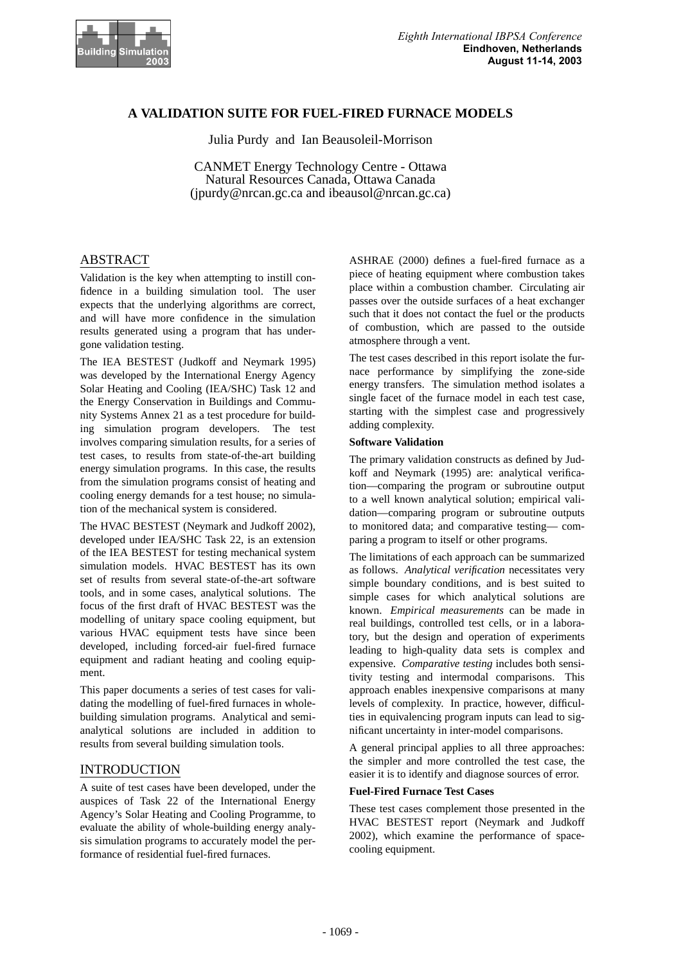

# **A VALIDATION SUITE FOR FUEL-FIRED FURNACE MODELS**

Julia Purdy and Ian Beausoleil-Morrison

CANMET Energy Technology Centre - Ottawa Natural Resources Canada, Ottawa Canada (jpurdy@nrcan.gc.ca and ibeausol@nrcan.gc.ca)

# ABSTRACT

Validation is the key when attempting to instill confidence in a building simulation tool. The user expects that the underlying algorithms are correct, and will have more confidence in the simulation results generated using a program that has undergone validation testing.

The IEA BESTEST (Judkoff and Neymark 1995) was developed by the International Energy Agency Solar Heating and Cooling (IEA/SHC) Task 12 and the Energy Conservation in Buildings and Community Systems Annex 21 as a test procedure for building simulation program developers. The test involves comparing simulation results, for a series of test cases, to results from state-of-the-art building energy simulation programs. In this case, the results from the simulation programs consist of heating and cooling energy demands for a test house; no simulation of the mechanical system is considered.

The HVAC BESTEST (Neymark and Judkoff 2002), developed under IEA/SHC Task 22, is an extension of the IEA BESTEST for testing mechanical system simulation models. HVAC BESTEST has its own set of results from several state-of-the-art software tools, and in some cases, analytical solutions. The focus of the first draft of HVAC BESTEST was the modelling of unitary space cooling equipment, but various HVAC equipment tests have since been developed, including forced-air fuel-fired furnace equipment and radiant heating and cooling equipment.

This paper documents a series of test cases for validating the modelling of fuel-fired furnaces in wholebuilding simulation programs. Analytical and semianalytical solutions are included in addition to results from several building simulation tools.

## INTRODUCTION

A suite of test cases have been developed, under the auspices of Task 22 of the International Energy Agency's Solar Heating and Cooling Programme, to evaluate the ability of whole-building energy analysis simulation programs to accurately model the performance of residential fuel-fired furnaces.

ASHRAE (2000) defines a fuel-fired furnace as a piece of heating equipment where combustion takes place within a combustion chamber. Circulating air passes over the outside surfaces of a heat exchanger such that it does not contact the fuel or the products of combustion, which are passed to the outside atmosphere through a vent.

The test cases described in this report isolate the furnace performance by simplifying the zone-side energy transfers. The simulation method isolates a single facet of the furnace model in each test case, starting with the simplest case and progressively adding complexity.

## **Software Validation**

The primary validation constructs as defined by Judkoff and Neymark (1995) are: analytical verification—comparing the program or subroutine output to a well known analytical solution; empirical validation—comparing program or subroutine outputs to monitored data; and comparative testing— comparing a program to itself or other programs.

The limitations of each approach can be summarized as follows. *Analytical verification* necessitates very simple boundary conditions, and is best suited to simple cases for which analytical solutions are known. *Empirical measurements* can be made in real buildings, controlled test cells, or in a laboratory, but the design and operation of experiments leading to high-quality data sets is complex and expensive. *Comparative testing* includes both sensitivity testing and intermodal comparisons. This approach enables inexpensive comparisons at many levels of complexity. In practice, however, difficulties in equivalencing program inputs can lead to significant uncertainty in inter-model comparisons.

A general principal applies to all three approaches: the simpler and more controlled the test case, the easier it is to identify and diagnose sources of error.

## **Fuel-Fired Furnace Test Cases**

These test cases complement those presented in the HVAC BESTEST report (Neymark and Judkoff 2002), which examine the performance of spacecooling equipment.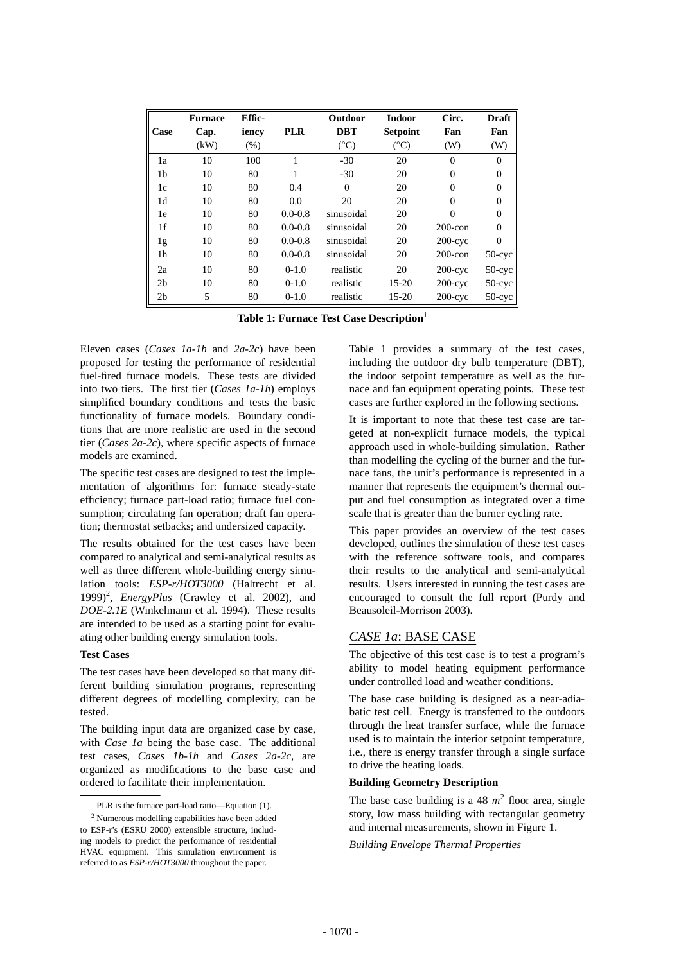| Case           | <b>Furnace</b><br>Cap. | Effic-<br>iency | <b>PLR</b>  | <b>Outdoor</b><br><b>DBT</b> | <b>Indoor</b><br><b>Setpoint</b> | Circ.<br>Fan | <b>Draft</b><br>Fan |
|----------------|------------------------|-----------------|-------------|------------------------------|----------------------------------|--------------|---------------------|
|                | (kW)                   | (% )            |             | $(^{\circ}C)$                | $(^\circ C)$                     | (W)          | (W)                 |
| 1a             | 10                     | 100             |             | $-30$                        | 20                               | $\Omega$     | $\Omega$            |
| 1 <sub>b</sub> | 10                     | 80              |             | $-30$                        | 20                               | $\Omega$     | $\Omega$            |
| 1c             | 10                     | 80              | 0.4         | $\Omega$                     | 20                               | $\Omega$     | $\Omega$            |
| 1 <sub>d</sub> | 10                     | 80              | 0.0         | 20                           | 20                               | $\Omega$     | $\Omega$            |
| 1e             | 10                     | 80              | $0.0 - 0.8$ | sinusoidal                   | 20                               | $\Omega$     | $\Omega$            |
| 1f             | 10                     | 80              | $0.0 - 0.8$ | sinusoidal                   | 20                               | $200$ -con   | $\Omega$            |
| 1g             | 10                     | 80              | $0.0 - 0.8$ | sinusoidal                   | 20                               | $200$ -cyc   | $\Omega$            |
| 1h             | 10                     | 80              | $0.0 - 0.8$ | sinusoidal                   | 20                               | $200$ -con   | $50$ -cyc           |
| 2a             | 10                     | 80              | $0-1.0$     | realistic                    | 20                               | $200$ -cyc   | $50$ -cyc           |
| 2 <sub>b</sub> | 10                     | 80              | $0 - 1.0$   | realistic                    | $15 - 20$                        | $200$ -cyc   | $50$ -cyc           |
| 2 <sub>b</sub> | 5                      | 80              | $0-1.0$     | realistic                    | $15 - 20$                        | $200$ -cyc   | $50$ -cyc           |

**Table 1: Furnace Test Case Description**<sup>1</sup>

Eleven cases (*Cases 1a-1h* and  $2a-2c$ ) have been proposed for testing the performance of residential fuel-fired furnace models. These tests are divided into two tiers. The first tier (*Cases 1a-1h*) employs simplified boundary conditions and tests the basic functionality of furnace models. Boundary conditions that are more realistic are used in the second tier (*Cases 2a-2c*), where specific aspects of furnace models are examined.

The specific test cases are designed to test the implementation of algorithms for: furnace steady-state efficiency; furnace part-load ratio; furnace fuel consumption; circulating fan operation; draft fan operation; thermostat setbacks; and undersized capacity.

The results obtained for the test cases have been compared to analytical and semi-analytical results as well as three different whole-building energy simulation tools: *ESP-r/HOT3000* (Haltrecht et al. 1999)<sup>2</sup>, *EnergyPlus* (Crawley et al. 2002), and *DOE-2.1E* (Winkelmann et al. 1994). These results are intended to be used as a starting point for evaluating other building energy simulation tools.

#### **Test Cases**

The test cases have been developed so that many different building simulation programs, representing different degrees of modelling complexity, can be tested.

The building input data are organized case by case, with *Case 1a* being the base case. The additional test cases, *Cases 1b-1h* and *Cases 2a-2c*, are organized as modifications to the base case and ordered to facilitate their implementation.

Table 1 provides a summary of the test cases, including the outdoor dry bulb temperature (DBT), the indoor setpoint temperature as well as the furnace and fan equipment operating points. These test cases are further explored in the following sections.

It is important to note that these test case are targeted at non-explicit furnace models, the typical approach used in whole-building simulation. Rather than modelling the cycling of the burner and the furnace fans, the unit's performance is represented in a manner that represents the equipment's thermal output and fuel consumption as integrated over a time scale that is greater than the burner cycling rate.

This paper provides an overview of the test cases developed, outlines the simulation of these test cases with the reference software tools, and compares their results to the analytical and semi-analytical results. Users interested in running the test cases are encouraged to consult the full report (Purdy and Beausoleil-Morrison 2003).

## *CASE 1a*: BASE CASE

The objective of this test case is to test a program's ability to model heating equipment performance under controlled load and weather conditions.

The base case building is designed as a near-adiabatic test cell. Energy is transferred to the outdoors through the heat transfer surface, while the furnace used is to maintain the interior setpoint temperature, i.e., there is energy transfer through a single surface to drive the heating loads.

### **Building Geometry Description**

The base case building is a  $48 \text{ m}^2$  floor area, single story, low mass building with rectangular geometry and internal measurements, shown in Figure 1.

*Building Envelope Thermal Properties*

 $<sup>1</sup>$  PLR is the furnace part-load ratio—Equation (1).</sup>

<sup>2</sup> Numerous modelling capabilities have been added to ESP-r's (ESRU 2000) extensible structure, including models to predict the performance of residential HVAC equipment. This simulation environment is referred to as *ESP-r/HOT3000* throughout the paper.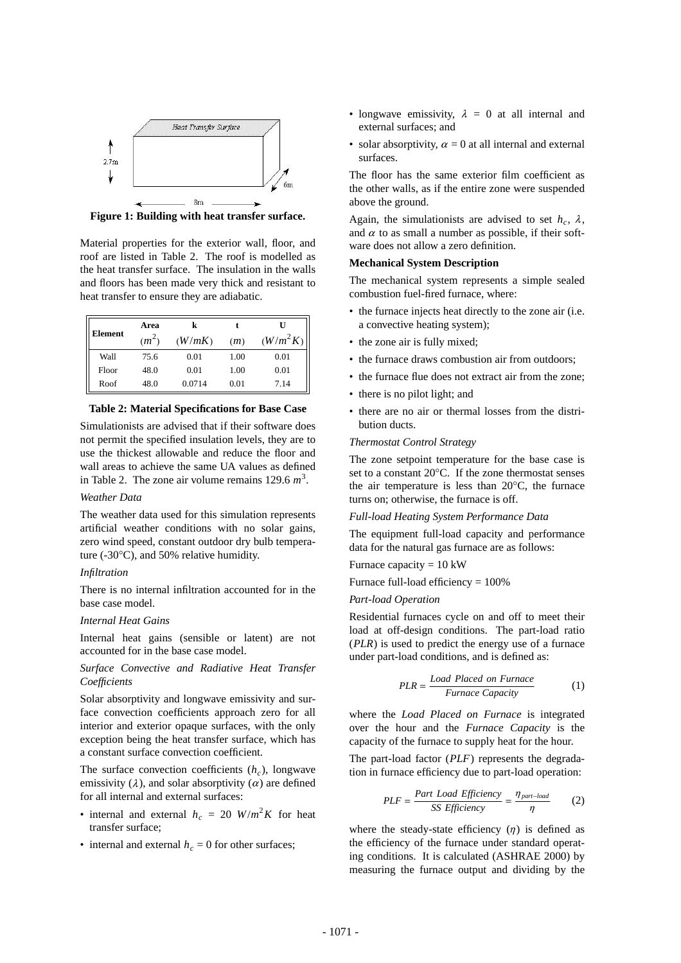

**Figure 1: Building with heat transfer surface.**

Material properties for the exterior wall, floor, and roof are listed in Table 2. The roof is modelled as the heat transfer surface. The insulation in the walls and floors has been made very thick and resistant to heat transfer to ensure they are adiabatic.

| <b>Element</b> | Area<br>$(m^2)$ | k<br>(W/mK) | (m)  | U<br>$(W/m^2K)$ |  |
|----------------|-----------------|-------------|------|-----------------|--|
| Wall           | 75.6            | 0.01        | 1.00 | 0.01            |  |
| Floor          | 48.0            | 0.01        | 1.00 | 0.01            |  |
| Roof           | 48.0            | 0.0714      | 0.01 | 7.14            |  |

### **Table 2: Material Specifications for Base Case**

Simulationists are advised that if their software does not permit the specified insulation levels, they are to use the thickest allowable and reduce the floor and wall areas to achieve the same UA values as defined in Table 2. The zone air volume remains  $129.6 \ m^3$ .

### *Weather Data*

The weather data used for this simulation represents artificial weather conditions with no solar gains, zero wind speed, constant outdoor dry bulb temperature (-30°C), and 50% relative humidity.

#### *Infiltration*

There is no internal infiltration accounted for in the base case model.

### *Internal Heat Gains*

Internal heat gains (sensible or latent) are not accounted for in the base case model.

### *Surface Convective and Radiative Heat Transfer Coefficients*

Solar absorptivity and longwave emissivity and surface convection coefficients approach zero for all interior and exterior opaque surfaces, with the only exception being the heat transfer surface, which has a constant surface convection coefficient.

The surface convection coefficients  $(h<sub>c</sub>)$ , longwave emissivity ( $\lambda$ ), and solar absorptivity ( $\alpha$ ) are defined for all internal and external surfaces:

- internal and external  $h_c = 20$  *W*/ $m^2 K$  for heat transfer surface;
- internal and external  $h_c = 0$  for other surfaces;
- longwave emissivity,  $\lambda = 0$  at all internal and external surfaces; and
- solar absorptivity,  $\alpha = 0$  at all internal and external surfaces.

The floor has the same exterior film coefficient as the other walls, as if the entire zone were suspended above the ground.

Again, the simulationists are advised to set  $h_c$ ,  $\lambda$ , and  $\alpha$  to as small a number as possible, if their software does not allow a zero definition.

### **Mechanical System Description**

The mechanical system represents a simple sealed combustion fuel-fired furnace, where:

- the furnace injects heat directly to the zone air (i.e. a convective heating system);
- the zone air is fully mixed;
- the furnace draws combustion air from outdoors:
- the furnace flue does not extract air from the zone;
- there is no pilot light; and
- there are no air or thermal losses from the distribution ducts.

### *Thermostat Control Strategy*

The zone setpoint temperature for the base case is set to a constant 20°C. If the zone thermostat senses the air temperature is less than 20°C, the furnace turns on; otherwise, the furnace is off.

#### *Full-load Heating System Performance Data*

The equipment full-load capacity and performance data for the natural gas furnace are as follows:

Furnace capacity  $= 10$  kW

$$
Furnace full-load efficiency = 100\%
$$

### *Part-load Operation*

Residential furnaces cycle on and off to meet their load at off-design conditions. The part-load ratio (*PLR*) is used to predict the energy use of a furnace under part-load conditions, and is defined as:

$$
PLR = \frac{Load\ Place\ on\ France}{Funcace\ Capacity}
$$
 (1)

where the *Load Placed on Furnace* is integrated over the hour and the *Furnace Capacity* is the capacity of the furnace to supply heat for the hour.

The part-load factor (*PLF*) represents the degradation in furnace efficiency due to part-load operation:

$$
PLF = \frac{Part\ Load\ Efficiency}{SS\ Efficiency} = \frac{\eta_{part-load}}{\eta}
$$
 (2)

where the steady-state efficiency  $(\eta)$  is defined as the efficiency of the furnace under standard operating conditions. It is calculated (ASHRAE 2000) by measuring the furnace output and dividing by the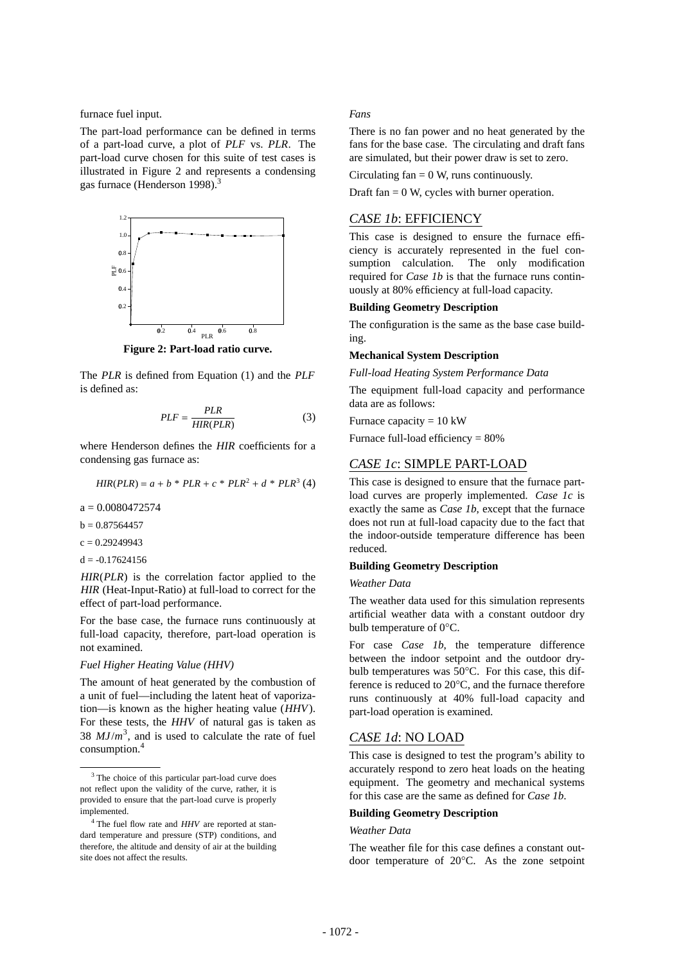furnace fuel input.

The part-load performance can be defined in terms of a part-load curve, a plot of *PLF* vs. *PLR*. The part-load curve chosen for this suite of test cases is illustrated in Figure 2 and represents a condensing gas furnace (Henderson 1998).<sup>3</sup>



**Figure 2: Part-load ratio curve.**

The *PLR* is defined from Equation (1) and the *PLF* is defined as:

$$
PLF = \frac{PLR}{HIR(PLR)}\tag{3}
$$

where Henderson defines the *HIR* coefficients for a condensing gas furnace as:

$$
HIR(PLR) = a + b * PLR + c * PLR2 + d * PLR3 (4)
$$

 $a = 0.0080472574$ 

 $b - 0.87564457$ 

 $c = 0.29249943$ 

 $d = -0.17624156$ 

*HIR*(*PLR*) is the correlation factor applied to the *HIR* (Heat-Input-Ratio) at full-load to correct for the effect of part-load performance.

For the base case, the furnace runs continuously at full-load capacity, therefore, part-load operation is not examined.

### *Fuel Higher Heating Value (HHV)*

The amount of heat generated by the combustion of a unit of fuel—including the latent heat of vaporization—is known as the higher heating value (*HHV*). For these tests, the *HHV* of natural gas is taken as  $38 \, MJ/m^3$ , and is used to calculate the rate of fuel consumption.4

### *Fans*

There is no fan power and no heat generated by the fans for the base case. The circulating and draft fans are simulated, but their power draw is set to zero.

Circulating  $fan = 0$  W, runs continuously.

Draft fan  $= 0$  W, cycles with burner operation.

# *CASE 1b*: EFFICIENCY

This case is designed to ensure the furnace efficiency is accurately represented in the fuel consumption calculation. The only modification required for *Case 1b* is that the furnace runs continuously at 80% efficiency at full-load capacity.

## **Building Geometry Description**

The configuration is the same as the base case building.

### **Mechanical System Description**

*Full-load Heating System Performance Data*

The equipment full-load capacity and performance data are as follows:

Furnace capacity  $= 10 \text{ kW}$ 

Furnace full-load efficiency = 80%

### *CASE 1c*: SIMPLE PART-LOAD

This case is designed to ensure that the furnace partload curves are properly implemented. *Case 1c* is exactly the same as *Case 1b*, except that the furnace does not run at full-load capacity due to the fact that the indoor-outside temperature difference has been reduced.

### **Building Geometry Description**

## *Weather Data*

The weather data used for this simulation represents artificial weather data with a constant outdoor dry bulb temperature of 0°C.

For case *Case 1b*, the temperature difference between the indoor setpoint and the outdoor drybulb temperatures was 50°C. For this case, this difference is reduced to 20°C, and the furnace therefore runs continuously at 40% full-load capacity and part-load operation is examined.

## *CASE 1d*: NO LOAD

This case is designed to test the program's ability to accurately respond to zero heat loads on the heating equipment. The geometry and mechanical systems for this case are the same as defined for *Case 1b*.

### **Building Geometry Description**

#### *Weather Data*

The weather file for this case defines a constant outdoor temperature of 20°C. As the zone setpoint

<sup>3</sup> The choice of this particular part-load curve does not reflect upon the validity of the curve, rather, it is provided to ensure that the part-load curve is properly implemented.

<sup>4</sup> The fuel flow rate and *HHV* are reported at standard temperature and pressure (STP) conditions, and therefore, the altitude and density of air at the building site does not affect the results.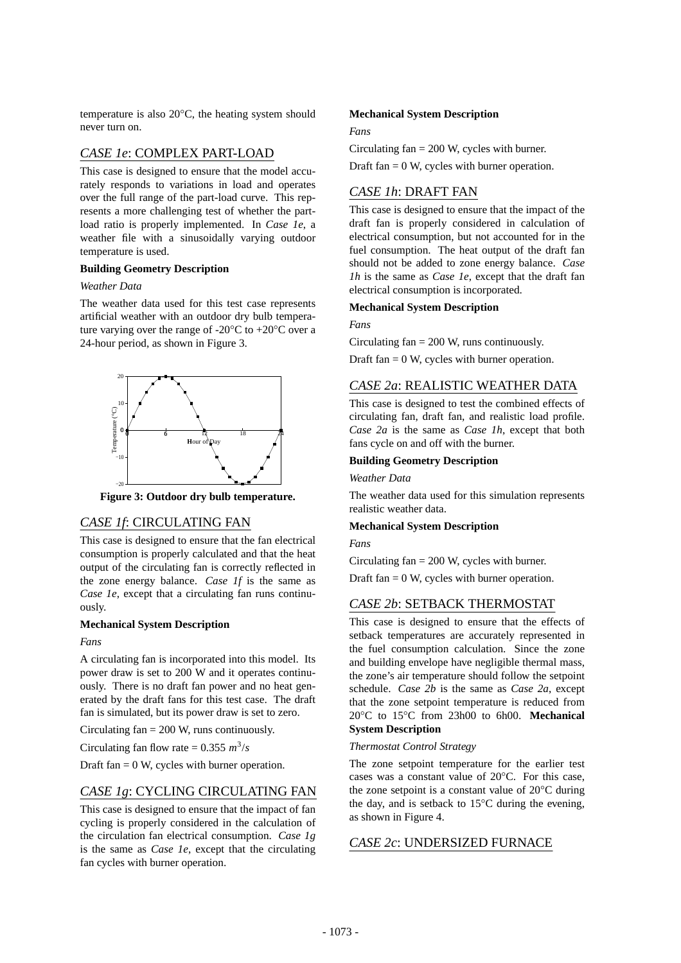temperature is also 20°C, the heating system should never turn on.

## *CASE 1e*: COMPLEX PART-LOAD

This case is designed to ensure that the model accurately responds to variations in load and operates over the full range of the part-load curve. This represents a more challenging test of whether the partload ratio is properly implemented. In *Case 1e*, a weather file with a sinusoidally varying outdoor temperature is used.

### **Building Geometry Description**

## *Weather Data*

The weather data used for this test case represents artificial weather with an outdoor dry bulb temperature varying over the range of -20 $\degree$ C to +20 $\degree$ C over a 24-hour period, as shown in Figure 3.



**Figure 3: Outdoor dry bulb temperature.**

## *CASE 1f*: CIRCULATING FAN

This case is designed to ensure that the fan electrical consumption is properly calculated and that the heat output of the circulating fan is correctly reflected in the zone energy balance. *Case 1f* is the same as *Case 1e*, except that a circulating fan runs continuously.

#### **Mechanical System Description**

### *Fans*

A circulating fan is incorporated into this model. Its power draw is set to 200 W and it operates continuously. There is no draft fan power and no heat generated by the draft fans for this test case. The draft fan is simulated, but its power draw is set to zero.

Circulating fan = 200 W, runs continuously.

Circulating fan flow rate =  $0.355 \frac{m^3}{s}$ 

Draft fan  $= 0$  W, cycles with burner operation.

## *CASE 1g*: CYCLING CIRCULATING FAN

This case is designed to ensure that the impact of fan cycling is properly considered in the calculation of the circulation fan electrical consumption. *Case 1g* is the same as *Case 1e*, except that the circulating fan cycles with burner operation.

### **Mechanical System Description**

*Fans*

Circulating  $fan = 200$  W, cycles with burner.

Draft fan  $= 0$  W, cycles with burner operation.

## *CASE 1h*: DRAFT FAN

This case is designed to ensure that the impact of the draft fan is properly considered in calculation of electrical consumption, but not accounted for in the fuel consumption. The heat output of the draft fan should not be added to zone energy balance. *Case 1h* is the same as *Case 1e*, except that the draft fan electrical consumption is incorporated.

### **Mechanical System Description**

*Fans*

Circulating fan = 200 W, runs continuously.

Draft fan  $= 0$  W, cycles with burner operation.

## *CASE 2a*: REALISTIC WEATHER DATA

This case is designed to test the combined effects of circulating fan, draft fan, and realistic load profile. *Case 2a* is the same as *Case 1h*, except that both fans cycle on and off with the burner.

### **Building Geometry Description**

*Weather Data*

The weather data used for this simulation represents realistic weather data.

#### **Mechanical System Description**

*Fans*

Circulating  $fan = 200$  W, cycles with burner.

Draft fan = 0 W, cycles with burner operation.

### *CASE 2b*: SETBACK THERMOSTAT

This case is designed to ensure that the effects of setback temperatures are accurately represented in the fuel consumption calculation. Since the zone and building envelope have negligible thermal mass, the zone's air temperature should follow the setpoint schedule. *Case 2b* is the same as *Case 2a*, except that the zone setpoint temperature is reduced from 20°C to 15°C from 23h00 to 6h00. **Mechanical System Description**

### *Thermostat Control Strategy*

The zone setpoint temperature for the earlier test cases was a constant value of 20°C. For this case, the zone setpoint is a constant value of 20°C during the day, and is setback to 15°C during the evening, as shown in Figure 4.

## *CASE 2c*: UNDERSIZED FURNACE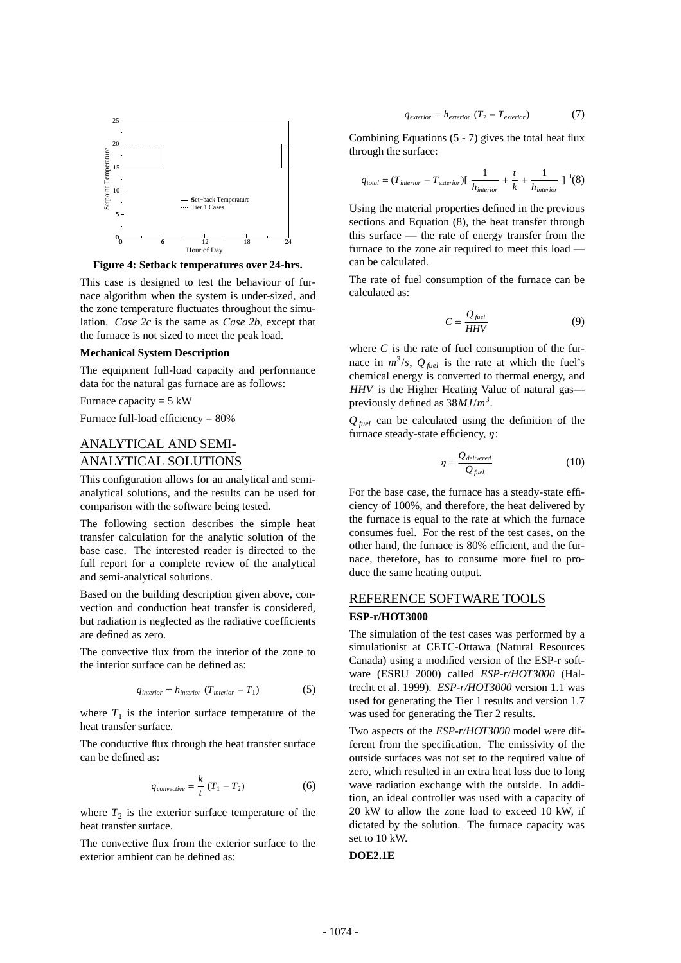

**Figure 4: Setback temperatures over 24-hrs.**

This case is designed to test the behaviour of furnace algorithm when the system is under-sized, and the zone temperature fluctuates throughout the simulation. *Case 2c* is the same as *Case 2b*, except that the furnace is not sized to meet the peak load.

#### **Mechanical System Description**

The equipment full-load capacity and performance data for the natural gas furnace are as follows:

Furnace capacity  $= 5$  kW

Furnace full-load efficiency = 80%

# ANALYTICAL AND SEMI-ANALYTICAL SOLUTIONS

This configuration allows for an analytical and semianalytical solutions, and the results can be used for comparison with the software being tested.

The following section describes the simple heat transfer calculation for the analytic solution of the base case. The interested reader is directed to the full report for a complete review of the analytical and semi-analytical solutions.

Based on the building description given above, convection and conduction heat transfer is considered, but radiation is neglected as the radiative coefficients are defined as zero.

The convective flux from the interior of the zone to the interior surface can be defined as:

$$
q_{interior} = h_{interior} (T_{interior} - T_1)
$$
 (5)

where  $T_1$  is the interior surface temperature of the heat transfer surface.

The conductive flux through the heat transfer surface can be defined as:

$$
q_{convective} = \frac{k}{t} (T_1 - T_2)
$$
 (6)

where  $T_2$  is the exterior surface temperature of the heat transfer surface.

The convective flux from the exterior surface to the exterior ambient can be defined as:

$$
q_{exterior} = h_{exterior} (T_2 - T_{exterior})
$$
 (7)

Combining Equations (5 - 7) gives the total heat flux through the surface:

$$
q_{total} = (T_{interior} - T_{exterior}) \left[ \frac{1}{h_{interior}} + \frac{t}{k} + \frac{1}{h_{interior}} \right]^{-1} (8)
$$

Using the material properties defined in the previous sections and Equation (8), the heat transfer through this surface — the rate of energy transfer from the furnace to the zone air required to meet this load can be calculated.

The rate of fuel consumption of the furnace can be calculated as:

$$
C = \frac{Q_{fuel}}{HHV} \tag{9}
$$

where  $C$  is the rate of fuel consumption of the furnace in  $m^3/s$ ,  $Q_{\text{fuel}}$  is the rate at which the fuel's chemical energy is converted to thermal energy, and *HHV* is the Higher Heating Value of natural gas previously defined as 38*MJ*/*m*<sup>3</sup> .

 $Q_{fuel}$  can be calculated using the definition of the furnace steady-state efficiency,  $\eta$ :

$$
\eta = \frac{Q_{delivered}}{Q_{fuel}}\tag{10}
$$

For the base case, the furnace has a steady-state efficiency of 100%, and therefore, the heat delivered by the furnace is equal to the rate at which the furnace consumes fuel. For the rest of the test cases, on the other hand, the furnace is 80% efficient, and the furnace, therefore, has to consume more fuel to produce the same heating output.

# REFERENCE SOFTWARE TOOLS **ESP-r/HOT3000**

The simulation of the test cases was performed by a simulationist at CETC-Ottawa (Natural Resources Canada) using a modified version of the ESP-r software (ESRU 2000) called *ESP-r/HOT3000* (Haltrecht et al. 1999). *ESP-r/HOT3000* version 1.1 was used for generating the Tier 1 results and version 1.7 was used for generating the Tier 2 results.

Two aspects of the *ESP-r/HOT3000* model were different from the specification. The emissivity of the outside surfaces was not set to the required value of zero, which resulted in an extra heat loss due to long wave radiation exchange with the outside. In addition, an ideal controller was used with a capacity of 20 kW to allow the zone load to exceed 10 kW, if dictated by the solution. The furnace capacity was set to 10 kW.

### **DOE2.1E**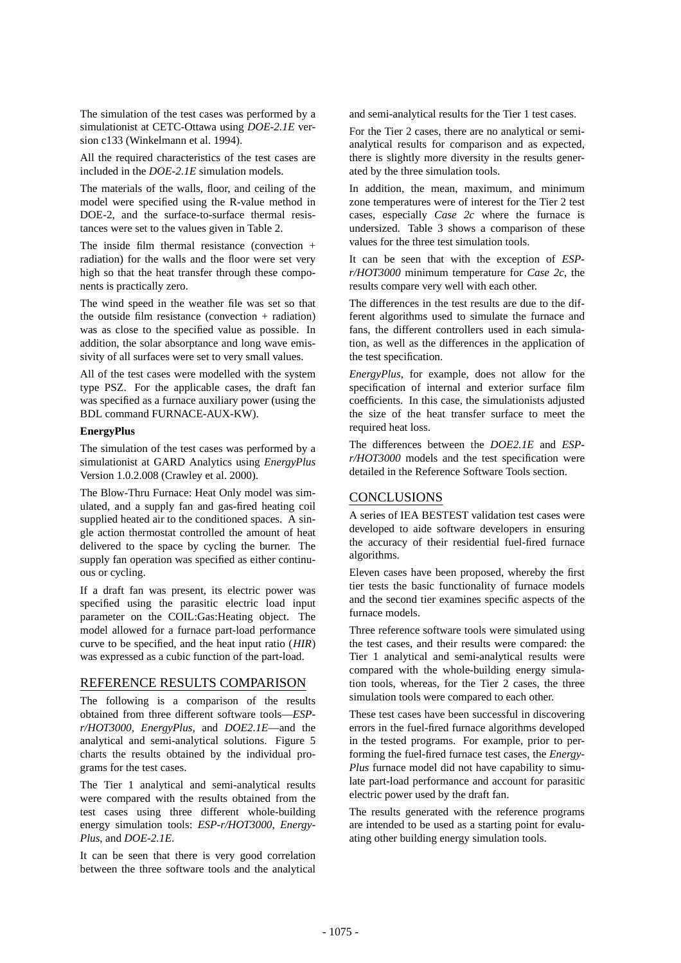The simulation of the test cases was performed by a simulationist at CETC-Ottawa using *DOE-2.1E* version c133 (Winkelmann et al. 1994).

All the required characteristics of the test cases are included in the *DOE-2.1E* simulation models.

The materials of the walls, floor, and ceiling of the model were specified using the R-value method in DOE-2, and the surface-to-surface thermal resistances were set to the values given in Table 2.

The inside film thermal resistance (convection + radiation) for the walls and the floor were set very high so that the heat transfer through these components is practically zero.

The wind speed in the weather file was set so that the outside film resistance (convection + radiation) was as close to the specified value as possible. In addition, the solar absorptance and long wave emissivity of all surfaces were set to very small values.

All of the test cases were modelled with the system type PSZ. For the applicable cases, the draft fan was specified as a furnace auxiliary power (using the BDL command FURNACE-AUX-KW).

## **EnergyPlus**

The simulation of the test cases was performed by a simulationist at GARD Analytics using *EnergyPlus* Version 1.0.2.008 (Crawley et al. 2000).

The Blow-Thru Furnace: Heat Only model was simulated, and a supply fan and gas-fired heating coil supplied heated air to the conditioned spaces. A single action thermostat controlled the amount of heat delivered to the space by cycling the burner. The supply fan operation was specified as either continuous or cycling.

If a draft fan was present, its electric power was specified using the parasitic electric load input parameter on the COIL:Gas:Heating object. The model allowed for a furnace part-load performance curve to be specified, and the heat input ratio (*HIR*) was expressed as a cubic function of the part-load.

## REFERENCE RESULTS COMPARISON

The following is a comparison of the results obtained from three different software tools—*ESPr/HOT3000*, *EnergyPlus*, and *DOE2.1E*—and the analytical and semi-analytical solutions. Figure 5 charts the results obtained by the individual programs for the test cases.

The Tier 1 analytical and semi-analytical results were compared with the results obtained from the test cases using three different whole-building energy simulation tools: *ESP-r/HOT3000*, *Energy-Plus*, and *DOE-2.1E*.

It can be seen that there is very good correlation between the three software tools and the analytical

and semi-analytical results for the Tier 1 test cases.

For the Tier 2 cases, there are no analytical or semianalytical results for comparison and as expected, there is slightly more diversity in the results generated by the three simulation tools.

In addition, the mean, maximum, and minimum zone temperatures were of interest for the Tier 2 test cases, especially *Case 2c* where the furnace is undersized. Table 3 shows a comparison of these values for the three test simulation tools.

It can be seen that with the exception of *ESPr/HOT3000* minimum temperature for *Case 2c*, the results compare very well with each other.

The differences in the test results are due to the different algorithms used to simulate the furnace and fans, the different controllers used in each simulation, as well as the differences in the application of the test specification.

*EnergyPlus*, for example, does not allow for the specification of internal and exterior surface film coefficients. In this case, the simulationists adjusted the size of the heat transfer surface to meet the required heat loss.

The differences between the *DOE2.1E* and *ESPr/HOT3000* models and the test specification were detailed in the Reference Software Tools section.

## **CONCLUSIONS**

A series of IEA BESTEST validation test cases were developed to aide software developers in ensuring the accuracy of their residential fuel-fired furnace algorithms.

Eleven cases have been proposed, whereby the first tier tests the basic functionality of furnace models and the second tier examines specific aspects of the furnace models.

Three reference software tools were simulated using the test cases, and their results were compared: the Tier 1 analytical and semi-analytical results were compared with the whole-building energy simulation tools, whereas, for the Tier 2 cases, the three simulation tools were compared to each other.

These test cases have been successful in discovering errors in the fuel-fired furnace algorithms developed in the tested programs. For example, prior to performing the fuel-fired furnace test cases, the *Energy-Plus* furnace model did not have capability to simulate part-load performance and account for parasitic electric power used by the draft fan.

The results generated with the reference programs are intended to be used as a starting point for evaluating other building energy simulation tools.